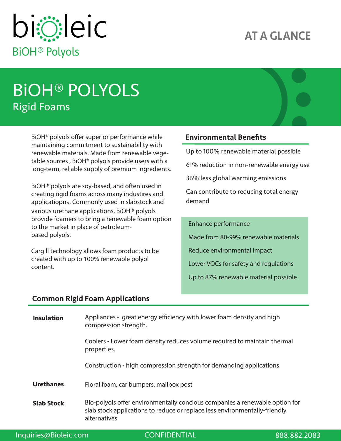## AT A GLANCE



# BiOH® POLYOLS Rigid Foams

 $BiOH<sup>®</sup>$  polyols offer superior performance while maintaining commitment to sustainability with renewable materials. Made from renewable vegetable sources , BiOH® polyols provide users with a long-term, reliable supply of premium ingredients.

BiOH® polyols are soy-based, and often used in creating rigid foams across many industires and applicatiopns. Commonly used in slabstock and various urethane applications, BiOH® polyols provide foamers to bring a renewable foam option to the market in place of petroleumbased polyols.

Cargill technology allows foam products to be created with up to 100% renewable polyol content.

### Environmental Benefits

Up to 100% renewable material possible

61% reduction in non-renewable energy use

36% less global warming emissions

Can contribute to reducing total energy demand

#### Enhance performance

Made from 80-99% renewable materials

Reduce environmental impact

Lower VOCs for safety and regulations

Up to 87% renewable material possible

#### Common Rigid Foam Applications

| <b>Insulation</b> | Appliances - great energy efficiency with lower foam density and high<br>compression strength.                                                                            |
|-------------------|---------------------------------------------------------------------------------------------------------------------------------------------------------------------------|
|                   | Coolers - Lower foam density reduces volume required to maintain thermal<br>properties.                                                                                   |
|                   | Construction - high compression strength for demanding applications                                                                                                       |
| <b>Urethanes</b>  | Floral foam, car bumpers, mailbox post                                                                                                                                    |
| <b>Slab Stock</b> | Bio-polyols offer environmentally concious companies a renewable option for<br>slab stock applications to reduce or replace less environmentally-friendly<br>alternatives |